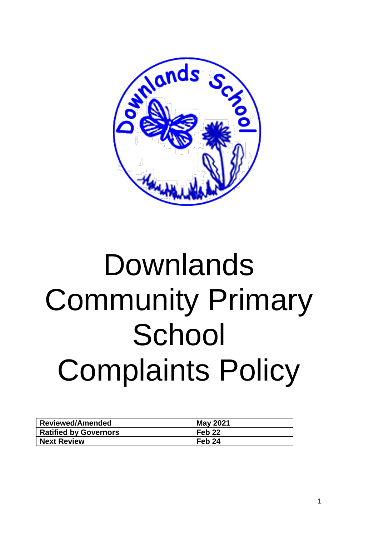

# Downlands Community Primary **School** Complaints Policy

| <b>Reviewed/Amended</b>      | <b>May 2021</b>   |
|------------------------------|-------------------|
| <b>Ratified by Governors</b> | Feb <sub>22</sub> |
| <b>Next Review</b>           | Feb <sub>24</sub> |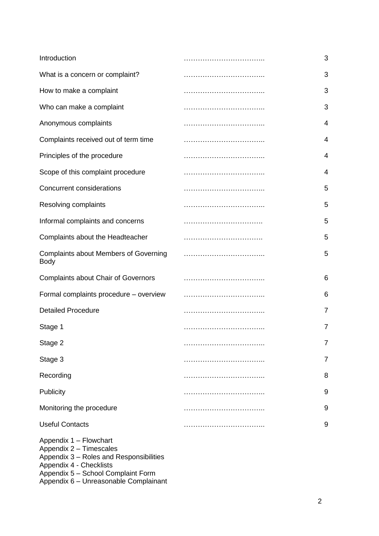| Introduction                                                                                                                                                  | 3              |
|---------------------------------------------------------------------------------------------------------------------------------------------------------------|----------------|
| What is a concern or complaint?                                                                                                                               | 3              |
| How to make a complaint                                                                                                                                       | 3              |
| Who can make a complaint                                                                                                                                      | 3              |
| Anonymous complaints                                                                                                                                          | 4              |
| Complaints received out of term time                                                                                                                          | 4              |
| Principles of the procedure                                                                                                                                   | 4              |
| Scope of this complaint procedure                                                                                                                             | 4              |
| <b>Concurrent considerations</b>                                                                                                                              | 5              |
| Resolving complaints                                                                                                                                          | 5              |
| Informal complaints and concerns                                                                                                                              | 5              |
| Complaints about the Headteacher                                                                                                                              | 5              |
| <b>Complaints about Members of Governing</b><br><b>Body</b>                                                                                                   | 5              |
| <b>Complaints about Chair of Governors</b>                                                                                                                    | 6              |
| Formal complaints procedure - overview                                                                                                                        | 6              |
| <b>Detailed Procedure</b>                                                                                                                                     | $\overline{7}$ |
| Stage 1                                                                                                                                                       | $\overline{7}$ |
| Stage 2                                                                                                                                                       | 7              |
| Stage 3                                                                                                                                                       | 7              |
| Recording                                                                                                                                                     | 8              |
| Publicity                                                                                                                                                     | 9              |
| Monitoring the procedure                                                                                                                                      | 9              |
| <b>Useful Contacts</b>                                                                                                                                        | 9              |
| Appendix 1 - Flowchart<br>Appendix 2 - Timescales<br>Appendix 3 - Roles and Responsibilities<br>Appendix 4 - Checklists<br>Appendix 5 - School Complaint Form |                |

Appendix 6 – Unreasonable Complainant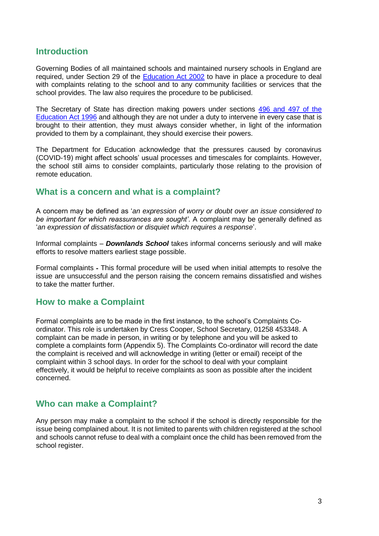## **Introduction**

Governing Bodies of all maintained schools and maintained nursery schools in England are required, under Section 29 of the [Education Act 2002](http://www.legislation.gov.uk/ukpga/2002/32/contents) to have in place a procedure to deal with complaints relating to the school and to any community facilities or services that the school provides. The law also requires the procedure to be publicised.

The Secretary of State has direction making powers under sections [496 and 497 of the](http://www.google.co.uk/search?hl=en&q=496+or+497+of+the+Education+Act+1996+&meta=)  [Education Act 1996](http://www.google.co.uk/search?hl=en&q=496+or+497+of+the+Education+Act+1996+&meta=) and although they are not under a duty to intervene in every case that is brought to their attention, they must always consider whether, in light of the information provided to them by a complainant, they should exercise their powers.

The Department for Education acknowledge that the pressures caused by coronavirus (COVID-19) might affect schools' usual processes and timescales for complaints. However, the school still aims to consider complaints, particularly those relating to the provision of remote education.

## **What is a concern and what is a complaint?**

A concern may be defined as '*an expression of worry or doubt over an issue considered to be important for which reassurances are sought'*. A complaint may be generally defined as '*an expression of dissatisfaction or disquiet which requires a response*'.

Informal complaints – *Downlands School* takes informal concerns seriously and will make efforts to resolve matters earliest stage possible.

Formal complaints **-** This formal procedure will be used when initial attempts to resolve the issue are unsuccessful and the person raising the concern remains dissatisfied and wishes to take the matter further.

## **How to make a Complaint**

Formal complaints are to be made in the first instance, to the school's Complaints Coordinator. This role is undertaken by Cress Cooper, School Secretary, 01258 453348. A complaint can be made in person, in writing or by telephone and you will be asked to complete a complaints form (Appendix 5). The Complaints Co-ordinator will record the date the complaint is received and will acknowledge in writing (letter or email) receipt of the complaint within 3 school days. In order for the school to deal with your complaint effectively, it would be helpful to receive complaints as soon as possible after the incident concerned.

## **Who can make a Complaint?**

Any person may make a complaint to the school if the school is directly responsible for the issue being complained about. It is not limited to parents with children registered at the school and schools cannot refuse to deal with a complaint once the child has been removed from the school register.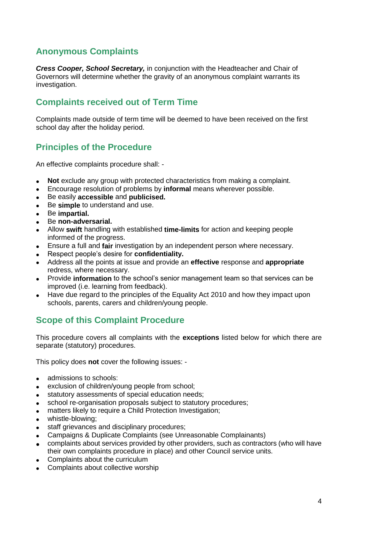# **Anonymous Complaints**

*Cress Cooper, School Secretary,* in conjunction with the Headteacher and Chair of Governors will determine whether the gravity of an anonymous complaint warrants its investigation.

## **Complaints received out of Term Time**

Complaints made outside of term time will be deemed to have been received on the first school day after the holiday period.

## **Principles of the Procedure**

An effective complaints procedure shall: -

- **Not** exclude any group with protected characteristics from making a complaint.
- Encourage resolution of problems by **informal** means wherever possible.
- Be easily **accessible** and **publicised.**
- Be **simple** to understand and use.
- Be **impartial.**
- Be **non-adversarial.**
- Allow **swift** handling with established **time-limits** for action and keeping people informed of the progress.
- Ensure a full and **fair** investigation by an independent person where necessary.
- Respect people's desire for **confidentiality.**
- Address all the points at issue and provide an **effective** response and **appropriate**  redress, where necessary.
- Provide **information** to the school's senior management team so that services can be improved (i.e. learning from feedback).
- Have due regard to the principles of the Equality Act 2010 and how they impact upon schools, parents, carers and children/young people.

# **Scope of this Complaint Procedure**

This procedure covers all complaints with the **exceptions** listed below for which there are separate (statutory) procedures.

This policy does **not** cover the following issues: -

- admissions to schools:
- exclusion of children/young people from school;
- statutory assessments of special education needs;
- school re-organisation proposals subject to statutory procedures;
- matters likely to require a Child Protection Investigation;
- whistle-blowing;
- staff grievances and disciplinary procedures;
- Campaigns & Duplicate Complaints (see Unreasonable Complainants)
- complaints about services provided by other providers, such as contractors (who will have their own complaints procedure in place) and other Council service units.
- Complaints about the curriculum
- Complaints about collective worship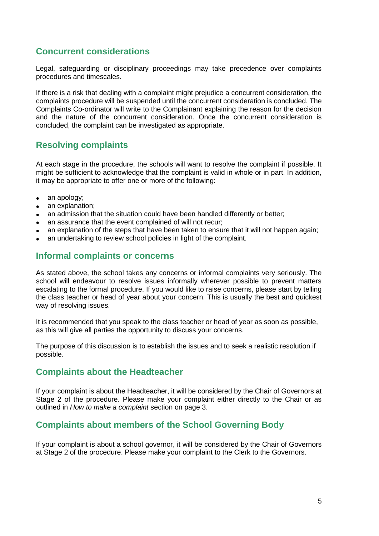## **Concurrent considerations**

Legal, safeguarding or disciplinary proceedings may take precedence over complaints procedures and timescales.

If there is a risk that dealing with a complaint might prejudice a concurrent consideration, the complaints procedure will be suspended until the concurrent consideration is concluded. The Complaints Co-ordinator will write to the Complainant explaining the reason for the decision and the nature of the concurrent consideration. Once the concurrent consideration is concluded, the complaint can be investigated as appropriate.

## **Resolving complaints**

At each stage in the procedure, the schools will want to resolve the complaint if possible. It might be sufficient to acknowledge that the complaint is valid in whole or in part. In addition, it may be appropriate to offer one or more of the following:

- an apology;
- an explanation;
- an admission that the situation could have been handled differently or better;
- an assurance that the event complained of will not recur;
- an explanation of the steps that have been taken to ensure that it will not happen again;
- an undertaking to review school policies in light of the complaint.

## **Informal complaints or concerns**

As stated above, the school takes any concerns or informal complaints very seriously. The school will endeavour to resolve issues informally wherever possible to prevent matters escalating to the formal procedure. If you would like to raise concerns, please start by telling the class teacher or head of year about your concern. This is usually the best and quickest way of resolving issues.

It is recommended that you speak to the class teacher or head of year as soon as possible, as this will give all parties the opportunity to discuss your concerns.

The purpose of this discussion is to establish the issues and to seek a realistic resolution if possible.

## **Complaints about the Headteacher**

If your complaint is about the Headteacher, it will be considered by the Chair of Governors at Stage 2 of the procedure. Please make your complaint either directly to the Chair or as outlined in *How to make a complaint* section on page 3.

## **Complaints about members of the School Governing Body**

If your complaint is about a school governor, it will be considered by the Chair of Governors at Stage 2 of the procedure. Please make your complaint to the Clerk to the Governors.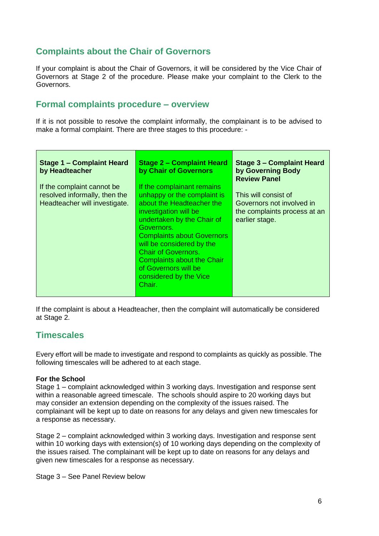## **Complaints about the Chair of Governors**

If your complaint is about the Chair of Governors, it will be considered by the Vice Chair of Governors at Stage 2 of the procedure. Please make your complaint to the Clerk to the Governors.

## **Formal complaints procedure – overview**

If it is not possible to resolve the complaint informally, the complainant is to be advised to make a formal complaint. There are three stages to this procedure: -

| Stage 1 - Complaint Heard<br>by Headteacher | <b>Stage 2 – Complaint Heard</b><br>by Chair of Governors | Stage 3 - Complaint Heard<br>by Governing Body<br><b>Review Panel</b> |
|---------------------------------------------|-----------------------------------------------------------|-----------------------------------------------------------------------|
| If the complaint cannot be                  | If the complainant remains                                |                                                                       |
| resolved informally, then the               | unhappy or the complaint is                               | This will consist of                                                  |
| Headteacher will investigate.               | about the Headteacher the                                 | Governors not involved in                                             |
|                                             | investigation will be                                     | the complaints process at an                                          |
|                                             | undertaken by the Chair of                                | earlier stage.                                                        |
|                                             | Governors.                                                |                                                                       |
|                                             | <b>Complaints about Governors</b>                         |                                                                       |
|                                             | will be considered by the                                 |                                                                       |
|                                             | <b>Chair of Governors.</b>                                |                                                                       |
|                                             | <b>Complaints about the Chair</b>                         |                                                                       |
|                                             | of Governors will be                                      |                                                                       |
|                                             | considered by the Vice                                    |                                                                       |
|                                             | Chair.                                                    |                                                                       |
|                                             |                                                           |                                                                       |

If the complaint is about a Headteacher, then the complaint will automatically be considered at Stage 2.

## **Timescales**

Every effort will be made to investigate and respond to complaints as quickly as possible. The following timescales will be adhered to at each stage.

#### **For the School**

Stage 1 – complaint acknowledged within 3 working days. Investigation and response sent within a reasonable agreed timescale. The schools should aspire to 20 working days but may consider an extension depending on the complexity of the issues raised. The complainant will be kept up to date on reasons for any delays and given new timescales for a response as necessary.

Stage 2 – complaint acknowledged within 3 working days. Investigation and response sent within 10 working days with extension(s) of 10 working days depending on the complexity of the issues raised. The complainant will be kept up to date on reasons for any delays and given new timescales for a response as necessary.

Stage 3 – See Panel Review below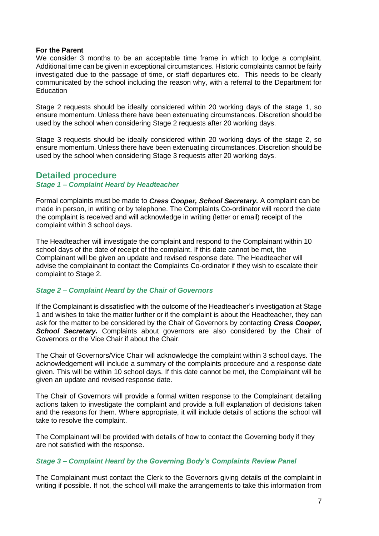#### **For the Parent**

We consider 3 months to be an acceptable time frame in which to lodge a complaint. Additional time can be given in exceptional circumstances. Historic complaints cannot be fairly investigated due to the passage of time, or staff departures etc. This needs to be clearly communicated by the school including the reason why, with a referral to the Department for **Education** 

Stage 2 requests should be ideally considered within 20 working days of the stage 1, so ensure momentum. Unless there have been extenuating circumstances. Discretion should be used by the school when considering Stage 2 requests after 20 working days.

Stage 3 requests should be ideally considered within 20 working days of the stage 2, so ensure momentum. Unless there have been extenuating circumstances. Discretion should be used by the school when considering Stage 3 requests after 20 working days.

## **Detailed procedure**

#### *Stage 1 – Complaint Heard by Headteacher*

Formal complaints must be made to *Cress Cooper, School Secretary.* A complaint can be made in person, in writing or by telephone. The Complaints Co-ordinator will record the date the complaint is received and will acknowledge in writing (letter or email) receipt of the complaint within 3 school days.

The Headteacher will investigate the complaint and respond to the Complainant within 10 school days of the date of receipt of the complaint. If this date cannot be met, the Complainant will be given an update and revised response date. The Headteacher will advise the complainant to contact the Complaints Co-ordinator if they wish to escalate their complaint to Stage 2.

#### *Stage 2 – Complaint Heard by the Chair of Governors*

If the Complainant is dissatisfied with the outcome of the Headteacher's investigation at Stage 1 and wishes to take the matter further or if the complaint is about the Headteacher, they can ask for the matter to be considered by the Chair of Governors by contacting *Cress Cooper,*  **School Secretary.** Complaints about governors are also considered by the Chair of Governors or the Vice Chair if about the Chair.

The Chair of Governors/Vice Chair will acknowledge the complaint within 3 school days. The acknowledgement will include a summary of the complaints procedure and a response date given. This will be within 10 school days. If this date cannot be met, the Complainant will be given an update and revised response date.

The Chair of Governors will provide a formal written response to the Complainant detailing actions taken to investigate the complaint and provide a full explanation of decisions taken and the reasons for them. Where appropriate, it will include details of actions the school will take to resolve the complaint.

The Complainant will be provided with details of how to contact the Governing body if they are not satisfied with the response.

#### *Stage 3 – Complaint Heard by the Governing Body's Complaints Review Panel*

The Complainant must contact the Clerk to the Governors giving details of the complaint in writing if possible. If not, the school will make the arrangements to take this information from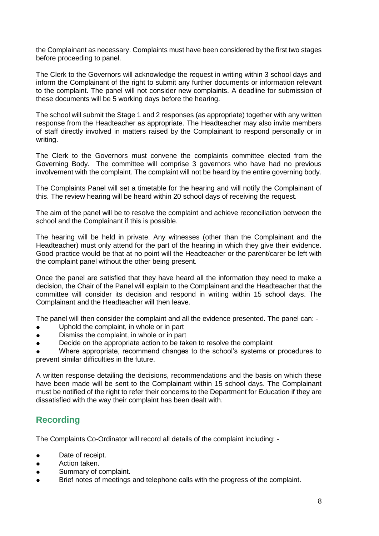the Complainant as necessary. Complaints must have been considered by the first two stages before proceeding to panel.

The Clerk to the Governors will acknowledge the request in writing within 3 school days and inform the Complainant of the right to submit any further documents or information relevant to the complaint. The panel will not consider new complaints. A deadline for submission of these documents will be 5 working days before the hearing.

The school will submit the Stage 1 and 2 responses (as appropriate) together with any written response from the Headteacher as appropriate. The Headteacher may also invite members of staff directly involved in matters raised by the Complainant to respond personally or in writing.

The Clerk to the Governors must convene the complaints committee elected from the Governing Body. The committee will comprise 3 governors who have had no previous involvement with the complaint. The complaint will not be heard by the entire governing body.

The Complaints Panel will set a timetable for the hearing and will notify the Complainant of this. The review hearing will be heard within 20 school days of receiving the request.

The aim of the panel will be to resolve the complaint and achieve reconciliation between the school and the Complainant if this is possible.

The hearing will be held in private. Any witnesses (other than the Complainant and the Headteacher) must only attend for the part of the hearing in which they give their evidence. Good practice would be that at no point will the Headteacher or the parent/carer be left with the complaint panel without the other being present.

Once the panel are satisfied that they have heard all the information they need to make a decision, the Chair of the Panel will explain to the Complainant and the Headteacher that the committee will consider its decision and respond in writing within 15 school days. The Complainant and the Headteacher will then leave.

The panel will then consider the complaint and all the evidence presented. The panel can: -

- Uphold the complaint, in whole or in part
- Dismiss the complaint, in whole or in part
- Decide on the appropriate action to be taken to resolve the complaint

Where appropriate, recommend changes to the school's systems or procedures to prevent similar difficulties in the future.

A written response detailing the decisions, recommendations and the basis on which these have been made will be sent to the Complainant within 15 school days. The Complainant must be notified of the right to refer their concerns to the Department for Education if they are dissatisfied with the way their complaint has been dealt with.

## **Recording**

The Complaints Co-Ordinator will record all details of the complaint including: -

- Date of receipt.
- Action taken.
- Summary of complaint.
- Brief notes of meetings and telephone calls with the progress of the complaint.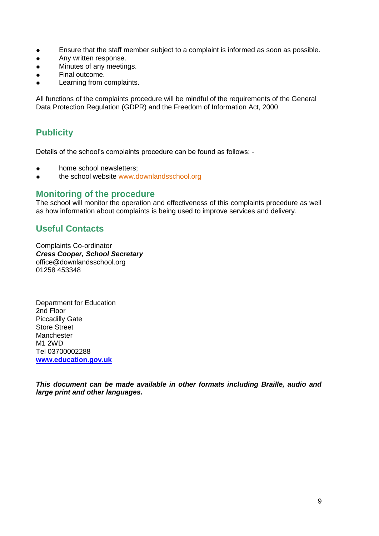- Ensure that the staff member subject to a complaint is informed as soon as possible.
- **•** Any written response.
- Minutes of any meetings.
- Final outcome.
- Learning from complaints.

All functions of the complaints procedure will be mindful of the requirements of the General Data Protection Regulation (GDPR) and the Freedom of Information Act, 2000

## **Publicity**

Details of the school's complaints procedure can be found as follows: -

- home school newsletters:
- the school website www.downlandsschool.org

## **Monitoring of the procedure**

The school will monitor the operation and effectiveness of this complaints procedure as well as how information about complaints is being used to improve services and delivery.

## **Useful Contacts**

Complaints Co-ordinator *Cress Cooper, School Secretary* office@downlandsschool.org 01258 453348

Department for Education 2nd Floor Piccadilly Gate Store Street Manchester M1 2WD Tel 03700002288 **[www.education.gov.uk](http://www.education.gov.uk/)**

*This document can be made available in other formats including Braille, audio and large print and other languages.*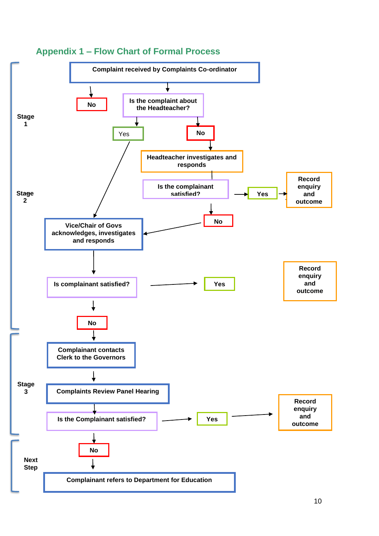

## **Appendix 1 – Flow Chart of Formal Process**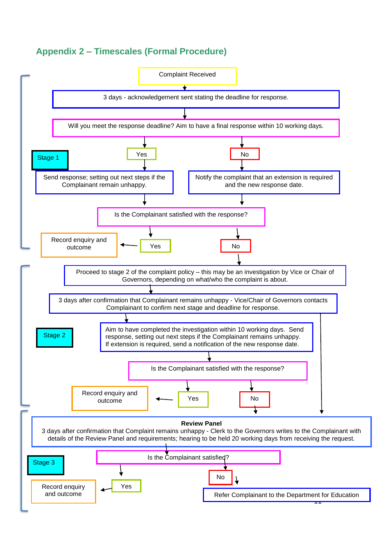# **Appendix 2 – Timescales (Formal Procedure)**

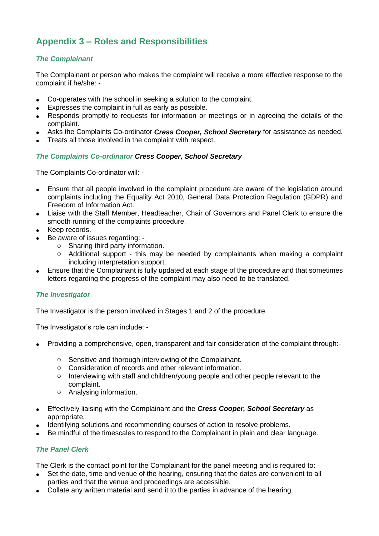# **Appendix 3 – Roles and Responsibilities**

## *The Complainant*

The Complainant or person who makes the complaint will receive a more effective response to the complaint if he/she: -

- Co-operates with the school in seeking a solution to the complaint.
- Expresses the complaint in full as early as possible.
- Responds promptly to requests for information or meetings or in agreeing the details of the complaint.
- Asks the Complaints Co-ordinator *Cress Cooper, School Secretary* for assistance as needed.
- Treats all those involved in the complaint with respect.

#### *The Complaints Co-ordinator Cress Cooper, School Secretary*

The Complaints Co-ordinator will: -

- Ensure that all people involved in the complaint procedure are aware of the legislation around complaints including the Equality Act 2010, General Data Protection Regulation (GDPR) and Freedom of Information Act.
- Liaise with the Staff Member, Headteacher, Chair of Governors and Panel Clerk to ensure the smooth running of the complaints procedure.
- Keep records.
- Be aware of issues regarding:
	- o Sharing third party information.
	- o Additional support this may be needed by complainants when making a complaint including interpretation support.
- Ensure that the Complainant is fully updated at each stage of the procedure and that sometimes letters regarding the progress of the complaint may also need to be translated.

#### *The Investigator*

The Investigator is the person involved in Stages 1 and 2 of the procedure.

The Investigator's role can include: -

- Providing a comprehensive, open, transparent and fair consideration of the complaint through:
	- o Sensitive and thorough interviewing of the Complainant.
	- o Consideration of records and other relevant information.
	- $\circ$  Interviewing with staff and children/young people and other people relevant to the complaint.
	- o Analysing information.
- Effectively liaising with the Complainant and the *Cress Cooper, School Secretary* as appropriate.
- Identifying solutions and recommending courses of action to resolve problems.
- Be mindful of the timescales to respond to the Complainant in plain and clear language.

## *The Panel Clerk*

The Clerk is the contact point for the Complainant for the panel meeting and is required to: -

- Set the date, time and venue of the hearing, ensuring that the dates are convenient to all parties and that the venue and proceedings are accessible.
- Collate any written material and send it to the parties in advance of the hearing.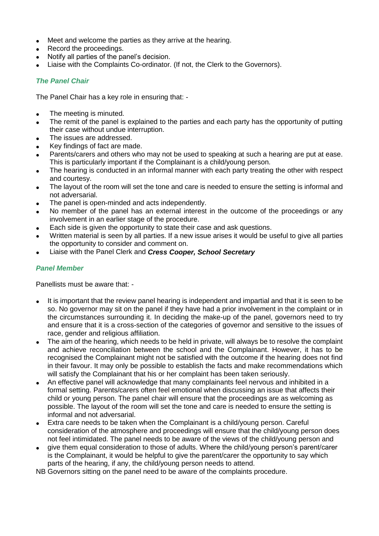- Meet and welcome the parties as they arrive at the hearing.
- Record the proceedings.
- Notify all parties of the panel's decision.
- Liaise with the Complaints Co-ordinator. (If not, the Clerk to the Governors).

#### *The Panel Chair*

The Panel Chair has a key role in ensuring that: -

- The meeting is minuted.
- The remit of the panel is explained to the parties and each party has the opportunity of putting their case without undue interruption.
- The issues are addressed.
- Key findings of fact are made.
- Parents/carers and others who may not be used to speaking at such a hearing are put at ease. This is particularly important if the Complainant is a child/young person.
- The hearing is conducted in an informal manner with each party treating the other with respect and courtesy.
- The layout of the room will set the tone and care is needed to ensure the setting is informal and not adversarial.
- The panel is open-minded and acts independently.
- No member of the panel has an external interest in the outcome of the proceedings or any involvement in an earlier stage of the procedure.
- Each side is given the opportunity to state their case and ask questions.
- Written material is seen by all parties. If a new issue arises it would be useful to give all parties the opportunity to consider and comment on.
- Liaise with the Panel Clerk and *Cress Cooper, School Secretary*

#### *Panel Member*

Panellists must be aware that: -

- It is important that the review panel hearing is independent and impartial and that it is seen to be so. No governor may sit on the panel if they have had a prior involvement in the complaint or in the circumstances surrounding it. In deciding the make-up of the panel, governors need to try and ensure that it is a cross-section of the categories of governor and sensitive to the issues of race, gender and religious affiliation.
- The aim of the hearing, which needs to be held in private, will always be to resolve the complaint and achieve reconciliation between the school and the Complainant. However, it has to be recognised the Complainant might not be satisfied with the outcome if the hearing does not find in their favour. It may only be possible to establish the facts and make recommendations which will satisfy the Complainant that his or her complaint has been taken seriously.
- An effective panel will acknowledge that many complainants feel nervous and inhibited in a formal setting. Parents/carers often feel emotional when discussing an issue that affects their child or young person. The panel chair will ensure that the proceedings are as welcoming as possible. The layout of the room will set the tone and care is needed to ensure the setting is informal and not adversarial.
- Extra care needs to be taken when the Complainant is a child/young person. Careful consideration of the atmosphere and proceedings will ensure that the child/young person does not feel intimidated. The panel needs to be aware of the views of the child/young person and
- give them equal consideration to those of adults. Where the child/young person's parent/carer is the Complainant, it would be helpful to give the parent/carer the opportunity to say which parts of the hearing, if any, the child/young person needs to attend.

NB Governors sitting on the panel need to be aware of the complaints procedure.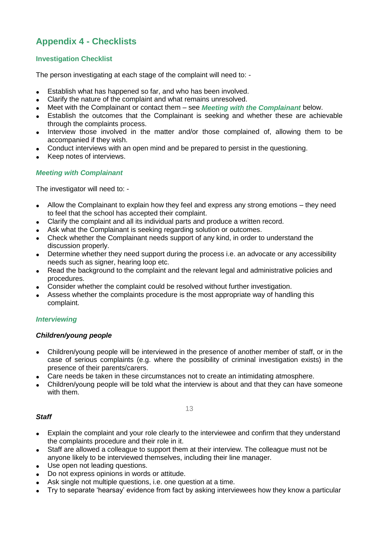# **Appendix 4 - Checklists**

#### **Investigation Checklist**

The person investigating at each stage of the complaint will need to: -

- Establish what has happened so far, and who has been involved.
- Clarify the nature of the complaint and what remains unresolved.
- Meet with the Complainant or contact them see *Meeting with the Complainant* below.
- Establish the outcomes that the Complainant is seeking and whether these are achievable through the complaints process.
- Interview those involved in the matter and/or those complained of, allowing them to be accompanied if they wish.
- Conduct interviews with an open mind and be prepared to persist in the questioning.
- Keep notes of interviews.

#### *Meeting with Complainant*

The investigator will need to: -

- Allow the Complainant to explain how they feel and express any strong emotions they need to feel that the school has accepted their complaint.
- Clarify the complaint and all its individual parts and produce a written record.
- Ask what the Complainant is seeking regarding solution or outcomes.
- Check whether the Complainant needs support of any kind, in order to understand the discussion properly.
- Determine whether they need support during the process i.e. an advocate or any accessibility needs such as signer, hearing loop etc.
- Read the background to the complaint and the relevant legal and administrative policies and procedures.
- Consider whether the complaint could be resolved without further investigation.
- Assess whether the complaints procedure is the most appropriate way of handling this complaint.

#### *Interviewing*

#### *Children/young people*

- Children/young people will be interviewed in the presence of another member of staff, or in the case of serious complaints (e.g. where the possibility of criminal investigation exists) in the presence of their parents/carers.
- Care needs be taken in these circumstances not to create an intimidating atmosphere.
- Children/young people will be told what the interview is about and that they can have someone with them.

13

#### *Staff*

- Explain the complaint and your role clearly to the interviewee and confirm that they understand the complaints procedure and their role in it.
- Staff are allowed a colleague to support them at their interview. The colleague must not be anyone likely to be interviewed themselves, including their line manager.
- Use open not leading questions.
- Do not express opinions in words or attitude.
- Ask single not multiple questions, i.e. one question at a time.
- Try to separate 'hearsay' evidence from fact by asking interviewees how they know a particular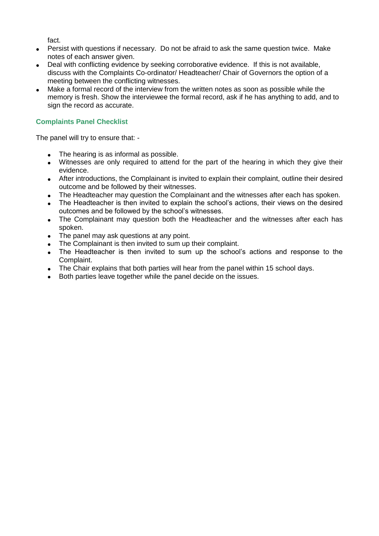fact.

- Persist with questions if necessary. Do not be afraid to ask the same question twice. Make notes of each answer given.
- Deal with conflicting evidence by seeking corroborative evidence. If this is not available, discuss with the Complaints Co-ordinator/ Headteacher/ Chair of Governors the option of a meeting between the conflicting witnesses.
- Make a formal record of the interview from the written notes as soon as possible while the memory is fresh. Show the interviewee the formal record, ask if he has anything to add, and to sign the record as accurate.

## **Complaints Panel Checklist**

The panel will try to ensure that: -

- The hearing is as informal as possible.
- Witnesses are only required to attend for the part of the hearing in which they give their evidence.
- After introductions, the Complainant is invited to explain their complaint, outline their desired outcome and be followed by their witnesses.
- The Headteacher may question the Complainant and the witnesses after each has spoken.
- The Headteacher is then invited to explain the school's actions, their views on the desired outcomes and be followed by the school's witnesses.
- The Complainant may question both the Headteacher and the witnesses after each has spoken.
- The panel may ask questions at any point.
- The Complainant is then invited to sum up their complaint.
- The Headteacher is then invited to sum up the school's actions and response to the Complaint.
- The Chair explains that both parties will hear from the panel within 15 school days.
- Both parties leave together while the panel decide on the issues.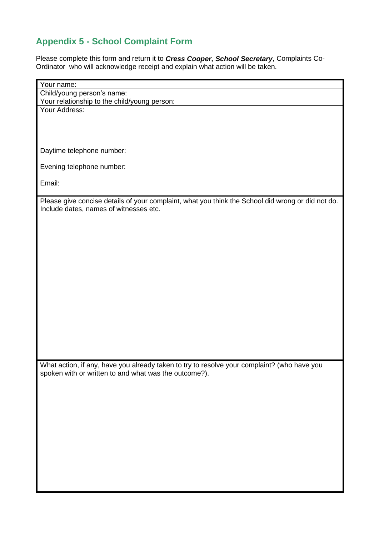# **Appendix 5 - School Complaint Form**

Please complete this form and return it to *Cress Cooper, School Secretary*, Complaints Co-Ordinator who will acknowledge receipt and explain what action will be taken.

| Your name:<br>Child/young person's name:                                                          |
|---------------------------------------------------------------------------------------------------|
| Your relationship to the child/young person:                                                      |
| Your Address:                                                                                     |
|                                                                                                   |
|                                                                                                   |
|                                                                                                   |
|                                                                                                   |
| Daytime telephone number:                                                                         |
|                                                                                                   |
| Evening telephone number:                                                                         |
|                                                                                                   |
| Email:                                                                                            |
|                                                                                                   |
| Please give concise details of your complaint, what you think the School did wrong or did not do. |
| Include dates, names of witnesses etc.                                                            |
|                                                                                                   |
|                                                                                                   |
|                                                                                                   |
|                                                                                                   |
|                                                                                                   |
|                                                                                                   |
|                                                                                                   |
|                                                                                                   |
|                                                                                                   |
|                                                                                                   |
|                                                                                                   |
|                                                                                                   |
|                                                                                                   |
|                                                                                                   |
|                                                                                                   |
|                                                                                                   |
| What action, if any, have you already taken to try to resolve your complaint? (who have you       |
| spoken with or written to and what was the outcome?).                                             |
|                                                                                                   |
|                                                                                                   |
|                                                                                                   |
|                                                                                                   |
|                                                                                                   |
|                                                                                                   |
|                                                                                                   |
|                                                                                                   |
|                                                                                                   |
|                                                                                                   |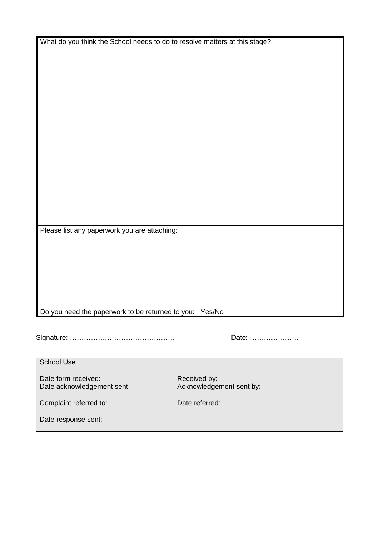What do you think the School needs to do to resolve matters at this stage?

Please list any paperwork you are attaching:

## Do you need the paperwork to be returned to you: Yes/No

Signature: ……………………………………… Date: …………………

| Date: |  |
|-------|--|
|-------|--|

School Use

Date form received: Received by: Date acknowledgement sent: Acknowledgement sent by:

Complaint referred to: Date referred:

Date response sent: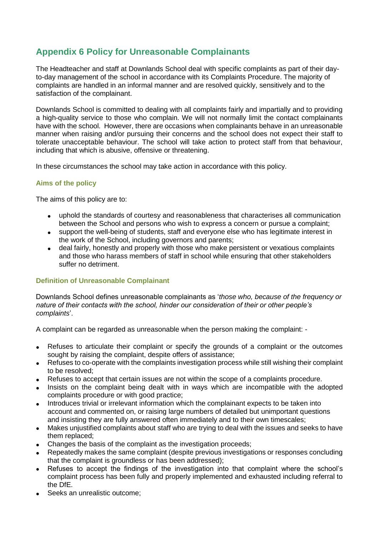# **Appendix 6 Policy for Unreasonable Complainants**

The Headteacher and staff at Downlands School deal with specific complaints as part of their dayto-day management of the school in accordance with its Complaints Procedure. The majority of complaints are handled in an informal manner and are resolved quickly, sensitively and to the satisfaction of the complainant.

Downlands School is committed to dealing with all complaints fairly and impartially and to providing a high-quality service to those who complain. We will not normally limit the contact complainants have with the school. However, there are occasions when complainants behave in an unreasonable manner when raising and/or pursuing their concerns and the school does not expect their staff to tolerate unacceptable behaviour. The school will take action to protect staff from that behaviour, including that which is abusive, offensive or threatening.

In these circumstances the school may take action in accordance with this policy.

#### **Aims of the policy**

The aims of this policy are to:

- uphold the standards of courtesy and reasonableness that characterises all communication between the School and persons who wish to express a concern or pursue a complaint;
- support the well-being of students, staff and everyone else who has legitimate interest in the work of the School, including governors and parents;
- deal fairly, honestly and properly with those who make persistent or vexatious complaints and those who harass members of staff in school while ensuring that other stakeholders suffer no detriment.

#### **Definition of Unreasonable Complainant**

Downlands School defines unreasonable complainants as '*those who, because of the frequency or nature of their contacts with the school, hinder our consideration of their or other people's complaints*'.

A complaint can be regarded as unreasonable when the person making the complaint: -

- Refuses to articulate their complaint or specify the grounds of a complaint or the outcomes sought by raising the complaint, despite offers of assistance;
- Refuses to co-operate with the complaints investigation process while still wishing their complaint to be resolved;
- Refuses to accept that certain issues are not within the scope of a complaints procedure.
- Insists on the complaint being dealt with in ways which are incompatible with the adopted complaints procedure or with good practice;
- Introduces trivial or irrelevant information which the complainant expects to be taken into account and commented on, or raising large numbers of detailed but unimportant questions and insisting they are fully answered often immediately and to their own timescales;
- Makes unjustified complaints about staff who are trying to deal with the issues and seeks to have them replaced;
- Changes the basis of the complaint as the investigation proceeds;
- Repeatedly makes the same complaint (despite previous investigations or responses concluding that the complaint is groundless or has been addressed);
- Refuses to accept the findings of the investigation into that complaint where the school's complaint process has been fully and properly implemented and exhausted including referral to the DfE.
- Seeks an unrealistic outcome;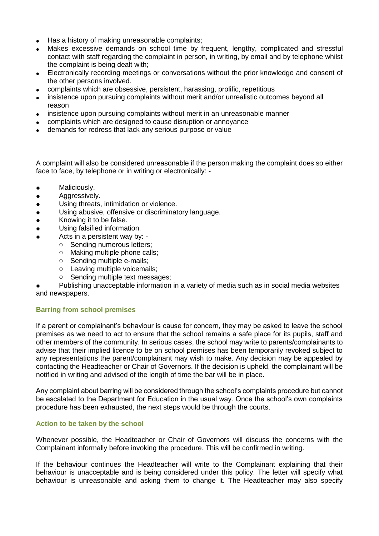- Has a history of making unreasonable complaints:
- Makes excessive demands on school time by frequent, lengthy, complicated and stressful contact with staff regarding the complaint in person, in writing, by email and by telephone whilst the complaint is being dealt with;
- Electronically recording meetings or conversations without the prior knowledge and consent of the other persons involved.
- complaints which are obsessive, persistent, harassing, prolific, repetitious
- insistence upon pursuing complaints without merit and/or unrealistic outcomes beyond all reason
- insistence upon pursuing complaints without merit in an unreasonable manner
- complaints which are designed to cause disruption or annoyance
- demands for redress that lack any serious purpose or value

A complaint will also be considered unreasonable if the person making the complaint does so either face to face, by telephone or in writing or electronically: -

- Maliciously.
- **•** Aggressively.
- Using threats, intimidation or violence.
- Using abusive, offensive or discriminatory language.
- Knowing it to be false.
- Using falsified information.
- Acts in a persistent way by:
	- o Sending numerous letters;
	- o Making multiple phone calls;
	- o Sending multiple e-mails;
	- o Leaving multiple voicemails;
	- o Sending multiple text messages;

Publishing unacceptable information in a variety of media such as in social media websites and newspapers.

#### **Barring from school premises**

If a parent or complainant's behaviour is cause for concern, they may be asked to leave the school premises as we need to act to ensure that the school remains a safe place for its pupils, staff and other members of the community. In serious cases, the school may write to parents/complainants to advise that their implied licence to be on school premises has been temporarily revoked subject to any representations the parent/complainant may wish to make. Any decision may be appealed by contacting the Headteacher or Chair of Governors. If the decision is upheld, the complainant will be notified in writing and advised of the length of time the bar will be in place.

Any complaint about barring will be considered through the school's complaints procedure but cannot be escalated to the Department for Education in the usual way. Once the school's own complaints procedure has been exhausted, the next steps would be through the courts.

#### **Action to be taken by the school**

Whenever possible, the Headteacher or Chair of Governors will discuss the concerns with the Complainant informally before invoking the procedure. This will be confirmed in writing.

If the behaviour continues the Headteacher will write to the Complainant explaining that their behaviour is unacceptable and is being considered under this policy. The letter will specify what behaviour is unreasonable and asking them to change it. The Headteacher may also specify